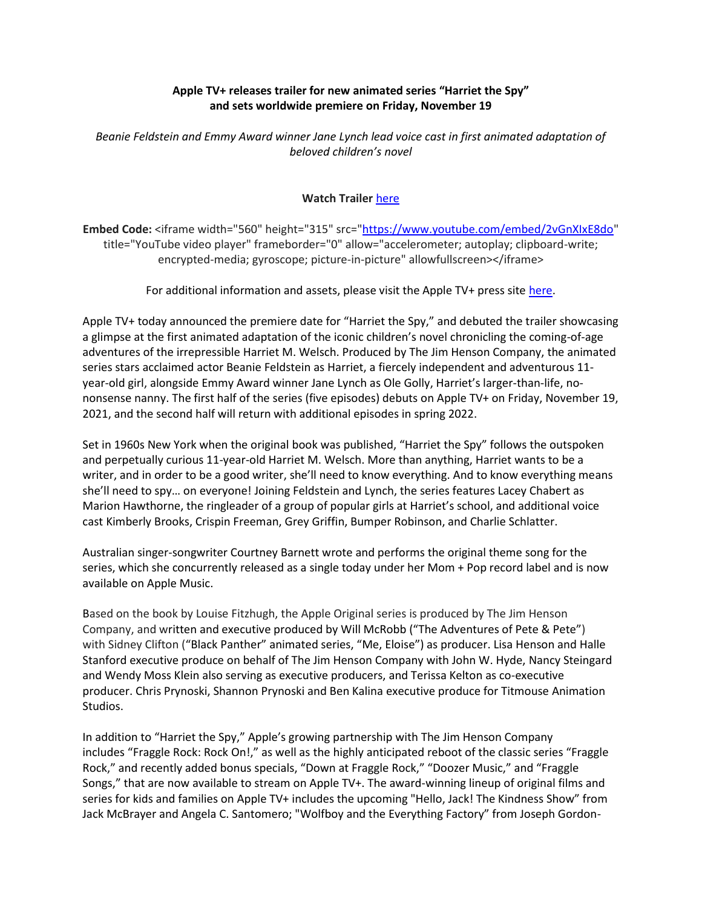## **Apple TV+ releases trailer for new animated series "Harriet the Spy" and sets worldwide premiere on Friday, November 19**

*Beanie Feldstein and Emmy Award winner Jane Lynch lead voice cast in first animated adaptation of beloved children's novel*

## **Watch Trailer** [here](https://youtu.be/2vGnXIxE8do)

**Embed Code:** <iframe width="560" height="315" src=["https://www.youtube.com/embed/2vGnXIxE8do"](https://www.youtube.com/embed/2vGnXIxE8do) title="YouTube video player" frameborder="0" allow="accelerometer; autoplay; clipboard-write; encrypted-media; gyroscope; picture-in-picture" allowfullscreen></iframe>

For additional information and assets, please visit the Apple TV+ press site [here.](https://www.apple.com/tv-pr/)

Apple TV+ today announced the premiere date for "Harriet the Spy," and debuted the trailer showcasing a glimpse at the first animated adaptation of the iconic children's novel chronicling the coming-of-age adventures of the irrepressible Harriet M. Welsch. Produced by The Jim Henson Company, the animated series stars acclaimed actor Beanie Feldstein as Harriet, a fiercely independent and adventurous 11 year-old girl, alongside Emmy Award winner Jane Lynch as Ole Golly, Harriet's larger-than-life, nononsense nanny. The first half of the series (five episodes) debuts on Apple TV+ on Friday, November 19, 2021, and the second half will return with additional episodes in spring 2022.

Set in 1960s New York when the original book was published, "Harriet the Spy" follows the outspoken and perpetually curious 11-year-old Harriet M. Welsch. More than anything, Harriet wants to be a writer, and in order to be a good writer, she'll need to know everything. And to know everything means she'll need to spy… on everyone! Joining Feldstein and Lynch, the series features Lacey Chabert as Marion Hawthorne, the ringleader of a group of popular girls at Harriet's school, and additional voice cast Kimberly Brooks, Crispin Freeman, Grey Griffin, Bumper Robinson, and Charlie Schlatter.

Australian singer-songwriter Courtney Barnett wrote and performs the original theme song for the series, which she concurrently released as a single today under her Mom + Pop record label and is now available on Apple Music.

Based on the book by Louise Fitzhugh, the Apple Original series is produced by The Jim Henson Company, and written and executive produced by Will McRobb ("The Adventures of Pete & Pete") with Sidney Clifton ("Black Panther" animated series, "Me, Eloise") as producer. Lisa Henson and Halle Stanford executive produce on behalf of The Jim Henson Company with John W. Hyde, Nancy Steingard and Wendy Moss Klein also serving as executive producers, and Terissa Kelton as co-executive producer. Chris Prynoski, Shannon Prynoski and Ben Kalina executive produce for Titmouse Animation Studios.

In addition to "Harriet the Spy," Apple's growing partnership with The Jim Henson Company includes "Fraggle Rock: Rock On!," as well as the highly anticipated reboot of the classic series "Fraggle Rock," and recently added bonus specials, "Down at Fraggle Rock," "Doozer Music," and "Fraggle Songs," that are now available to stream on Apple TV+. The award-winning lineup of original films and series for kids and families on Apple TV+ includes the upcoming "Hello, Jack! The Kindness Show" from Jack McBrayer and Angela C. Santomero; "Wolfboy and the Everything Factory" from Joseph Gordon